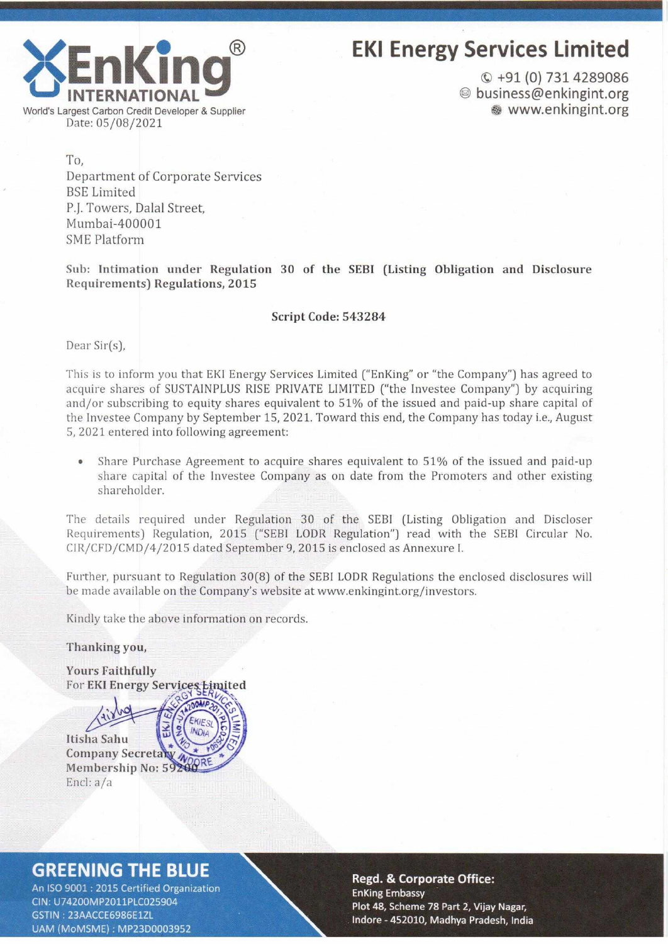

# EKI Energy Services Limited

© +91 (O) 731 4289086 ® business@enkingint.org **<sup>®</sup>** www.enkingint.org

Date: 05/08/2021 To,

Department of Corporate Services BSE Limited P.J. Towers, Dalal Street, Mumbai-400001 SME Platform

Sub: Intimation under Regulation 30 of the SEBI (Listing Obligation and Disclosure Requirements) Regulations, 2015

### Script Code: 543284

Dear Sir(s),

This is to inform you that EKI Energy Services Limited ("EnKing" or "the Company") has agreed to acquire shares of SUSTAINPLUS RISE PRIVATE LIMITED ("the Investee Company") by acquiring and/or subscribing to equity shares equivalent to 51% of the issued and paid-up share capital of the Investee Company by September 15, 2021. Toward this end, the Company has today i.e., August 5, 2021 entered into following agreement:

• Share Purchase Agreement to acquire shares equivalent to 51% of the issued and paid-up share capital of the Investee Company as on date from the Promoters and other existing shareholder.

The details required under Regulation 30 of the SEBI (Listing Obligation and Discloser Requirements) Regulation, 2015 ("SEBI LODR Regulation") read with the SEBI Circular No. CIR/CFD/CMD/4/2015 dated September 9, 2015 is enclosed as Annexure I.

Further, pursuant to Regulation 30(8) of the SEBI LODR Regulations the enclosed disclosures will be made available on the Company's website at www.enkingint.org/investors.

Kindly take the above information on records.

Thanking you,



# **GREENING THE BLUE**

An ISO 9001 : 2015 Certified Organization CIN: U74200MP2011PLC025904 GSTIN: 23AACCE6986E1ZL UAM (MoMSME): MP23D0003952

#### **Regd. & Corporate Office: EnKing Embassy** Plot 48, Scheme 78 Part 2, Vijay Nagar, Indore - 452010, Madhya Pradesh, India